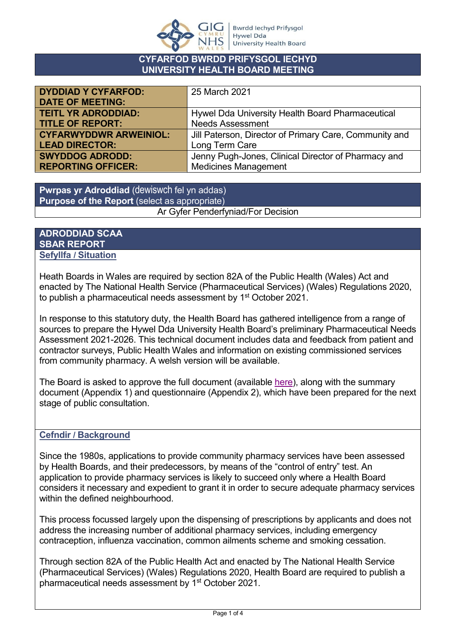

#### **CYFARFOD BWRDD PRIFYSGOL IECHYD UNIVERSITY HEALTH BOARD MEETING**

| <b>DYDDIAD Y CYFARFOD:</b>    | 25 March 2021                                          |
|-------------------------------|--------------------------------------------------------|
| <b>DATE OF MEETING:</b>       |                                                        |
| <b>TEITL YR ADRODDIAD:</b>    | Hywel Dda University Health Board Pharmaceutical       |
| <b>TITLE OF REPORT:</b>       | <b>Needs Assessment</b>                                |
| <b>CYFARWYDDWR ARWEINIOL:</b> | Jill Paterson, Director of Primary Care, Community and |
| <b>LEAD DIRECTOR:</b>         | Long Term Care                                         |
| <b>SWYDDOG ADRODD:</b>        | Jenny Pugh-Jones, Clinical Director of Pharmacy and    |
| <b>REPORTING OFFICER:</b>     | <b>Medicines Management</b>                            |

**Pwrpas yr Adroddiad** (dewiswch fel yn addas) **Purpose of the Report** (select as appropriate) Ar Gyfer Penderfyniad/For Decision

### **ADRODDIAD SCAA SBAR REPORT Sefyllfa / Situation**

Heath Boards in Wales are required by section 82A of the Public Health (Wales) Act and enacted by The National Health Service (Pharmaceutical Services) (Wales) Regulations 2020, to publish a pharmaceutical needs assessment by 1<sup>st</sup> October 2021.

In response to this statutory duty, the Health Board has gathered intelligence from a range of sources to prepare the Hywel Dda University Health Board's preliminary Pharmaceutical Needs Assessment 2021-2026. This technical document includes data and feedback from patient and contractor surveys, Public Health Wales and information on existing commissioned services from community pharmacy. A welsh version will be available.

The Board is asked to approve the full document (available [here\)](https://hduhb.nhs.wales/about-us/your-health-board/board-meetings-2021/board-agenda-and-papers-25th-march-2021/?previewid=9C1C649F-244A-4C7D-8A6933E325365865), along with the summary document (Appendix 1) and questionnaire (Appendix 2), which have been prepared for the next stage of public consultation.

## **Cefndir / Background**

Since the 1980s, applications to provide community pharmacy services have been assessed by Health Boards, and their predecessors, by means of the "control of entry" test. An application to provide pharmacy services is likely to succeed only where a Health Board considers it necessary and expedient to grant it in order to secure adequate pharmacy services within the defined neighbourhood.

This process focussed largely upon the dispensing of prescriptions by applicants and does not address the increasing number of additional pharmacy services, including emergency contraception, influenza vaccination, common ailments scheme and smoking cessation.

Through section 82A of the Public Health Act and enacted by The National Health Service (Pharmaceutical Services) (Wales) Regulations 2020, Health Board are required to publish a pharmaceutical needs assessment by 1<sup>st</sup> October 2021.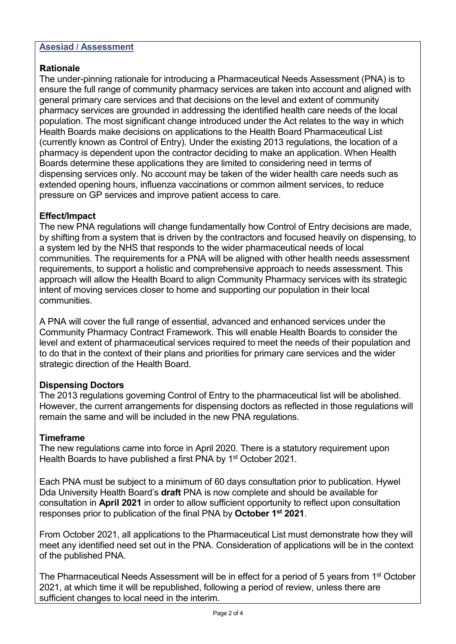### **Asesiad / Assessment**

## **Rationale**

The under-pinning rationale for introducing a Pharmaceutical Needs Assessment (PNA) is to ensure the full range of community pharmacy services are taken into account and aligned with general primary care services and that decisions on the level and extent of community pharmacy services are grounded in addressing the identified health care needs of the local population. The most significant change introduced under the Act relates to the way in which Health Boards make decisions on applications to the Health Board Pharmaceutical List (currently known as Control of Entry). Under the existing 2013 regulations, the location of a pharmacy is dependent upon the contractor deciding to make an application. When Health Boards determine these applications they are limited to considering need in terms of dispensing services only. No account may be taken of the wider health care needs such as extended opening hours, influenza vaccinations or common ailment services, to reduce pressure on GP services and improve patient access to care.

# **Effect/Impact**

The new PNA regulations will change fundamentally how Control of Entry decisions are made, by shifting from a system that is driven by the contractors and focused heavily on dispensing, to a system led by the NHS that responds to the wider pharmaceutical needs of local communities. The requirements for a PNA will be aligned with other health needs assessment requirements, to support a holistic and comprehensive approach to needs assessment. This approach will allow the Health Board to align Community Pharmacy services with its strategic intent of moving services closer to home and supporting our population in their local communities.

A PNA will cover the full range of essential, advanced and enhanced services under the Community Pharmacy Contract Framework. This will enable Health Boards to consider the level and extent of pharmaceutical services required to meet the needs of their population and to do that in the context of their plans and priorities for primary care services and the wider strategic direction of the Health Board.

## **Dispensing Doctors**

The 2013 regulations governing Control of Entry to the pharmaceutical list will be abolished. However, the current arrangements for dispensing doctors as reflected in those regulations will remain the same and will be included in the new PNA regulations.

## **Timeframe**

The new regulations came into force in April 2020. There is a statutory requirement upon Health Boards to have published a first PNA by 1<sup>st</sup> October 2021.

Each PNA must be subject to a minimum of 60 days consultation prior to publication. Hywel Dda University Health Board's **draft** PNA is now complete and should be available for consultation in **April 2021** in order to allow sufficient opportunity to reflect upon consultation responses prior to publication of the final PNA by **October 1st 2021**.

From October 2021, all applications to the Pharmaceutical List must demonstrate how they will meet any identified need set out in the PNA. Consideration of applications will be in the context of the published PNA.

The Pharmaceutical Needs Assessment will be in effect for a period of 5 years from 1<sup>st</sup> October 2021, at which time it will be republished, following a period of review, unless there are sufficient changes to local need in the interim.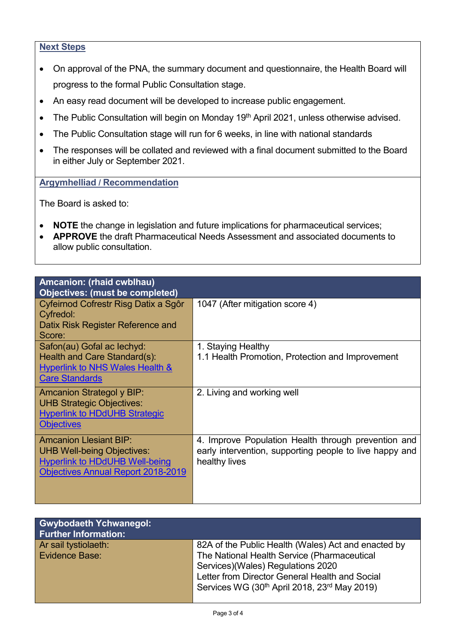### **Next Steps**

- On approval of the PNA, the summary document and questionnaire, the Health Board will progress to the formal Public Consultation stage.
- An easy read document will be developed to increase public engagement.
- The Public Consultation will begin on Monday 19<sup>th</sup> April 2021, unless otherwise advised.
- The Public Consultation stage will run for 6 weeks, in line with national standards
- The responses will be collated and reviewed with a final document submitted to the Board in either July or September 2021.

### **Argymhelliad / Recommendation**

The Board is asked to:

- **NOTE** the change in legislation and future implications for pharmaceutical services;
- **APPROVE** the draft Pharmaceutical Needs Assessment and associated documents to allow public consultation.

| Amcanion: (rhaid cwblhau)                  |                                                         |  |
|--------------------------------------------|---------------------------------------------------------|--|
| <b>Objectives: (must be completed)</b>     |                                                         |  |
| Cyfeirnod Cofrestr Risg Datix a Sgôr       | 1047 (After mitigation score 4)                         |  |
| Cyfredol:                                  |                                                         |  |
| Datix Risk Register Reference and          |                                                         |  |
| Score:                                     |                                                         |  |
| Safon(au) Gofal ac lechyd:                 | 1. Staying Healthy                                      |  |
| Health and Care Standard(s):               | 1.1 Health Promotion, Protection and Improvement        |  |
| <b>Hyperlink to NHS Wales Health &amp;</b> |                                                         |  |
| <b>Care Standards</b>                      |                                                         |  |
|                                            |                                                         |  |
| <b>Amcanion Strategol y BIP:</b>           | 2. Living and working well                              |  |
| <b>UHB Strategic Objectives:</b>           |                                                         |  |
| <b>Hyperlink to HDdUHB Strategic</b>       |                                                         |  |
| <b>Objectives</b>                          |                                                         |  |
| <b>Amcanion Llesiant BIP:</b>              | 4. Improve Population Health through prevention and     |  |
| <b>UHB Well-being Objectives:</b>          | early intervention, supporting people to live happy and |  |
| <b>Hyperlink to HDdUHB Well-being</b>      | healthy lives                                           |  |
| <b>Objectives Annual Report 2018-2019</b>  |                                                         |  |
|                                            |                                                         |  |
|                                            |                                                         |  |
|                                            |                                                         |  |

| 82A of the Public Health (Wales) Act and enacted by<br>The National Health Service (Pharmaceutical<br>Services)(Wales) Regulations 2020<br>Letter from Director General Health and Social<br>Services WG (30 <sup>th</sup> April 2018, 23 <sup>rd</sup> May 2019) |
|-------------------------------------------------------------------------------------------------------------------------------------------------------------------------------------------------------------------------------------------------------------------|
|                                                                                                                                                                                                                                                                   |